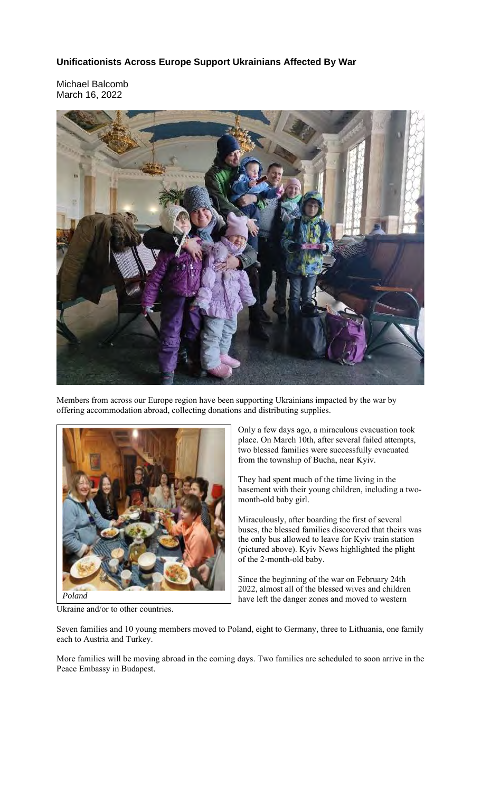## **Unificationists Across Europe Support Ukrainians Affected By War**

Michael Balcomb March 16, 2022



Members from across our Europe region have been supporting Ukrainians impacted by the war by offering accommodation abroad, collecting donations and distributing supplies.



Ukraine and/or to other countries.

Only a few days ago, a miraculous evacuation took place. On March 10th, after several failed attempts, two blessed families were successfully evacuated from the township of Bucha, near Kyiv.

They had spent much of the time living in the basement with their young children, including a twomonth-old baby girl.

Miraculously, after boarding the first of several buses, the blessed families discovered that theirs was the only bus allowed to leave for Kyiv train station (pictured above). Kyiv News highlighted the plight of the 2-month-old baby.

Since the beginning of the war on February 24th 2022, almost all of the blessed wives and children have left the danger zones and moved to western

Seven families and 10 young members moved to Poland, eight to Germany, three to Lithuania, one family each to Austria and Turkey.

More families will be moving abroad in the coming days. Two families are scheduled to soon arrive in the Peace Embassy in Budapest.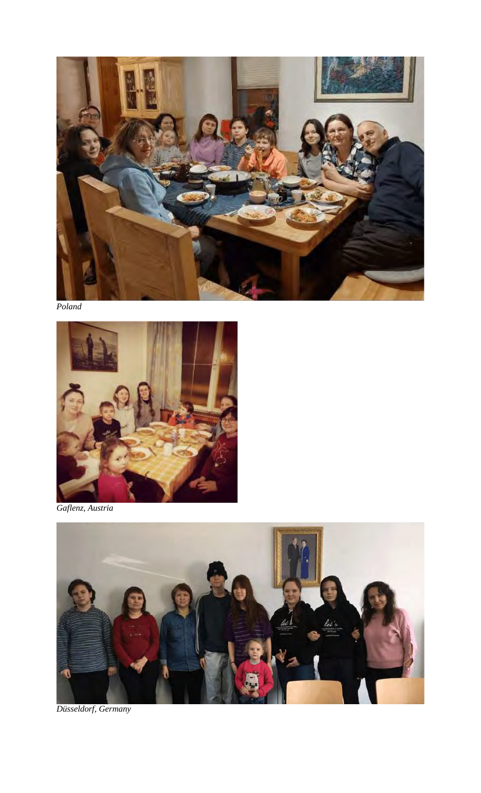

*Poland*



*Gaflenz, Austria*



*Düsseldorf, Germany*